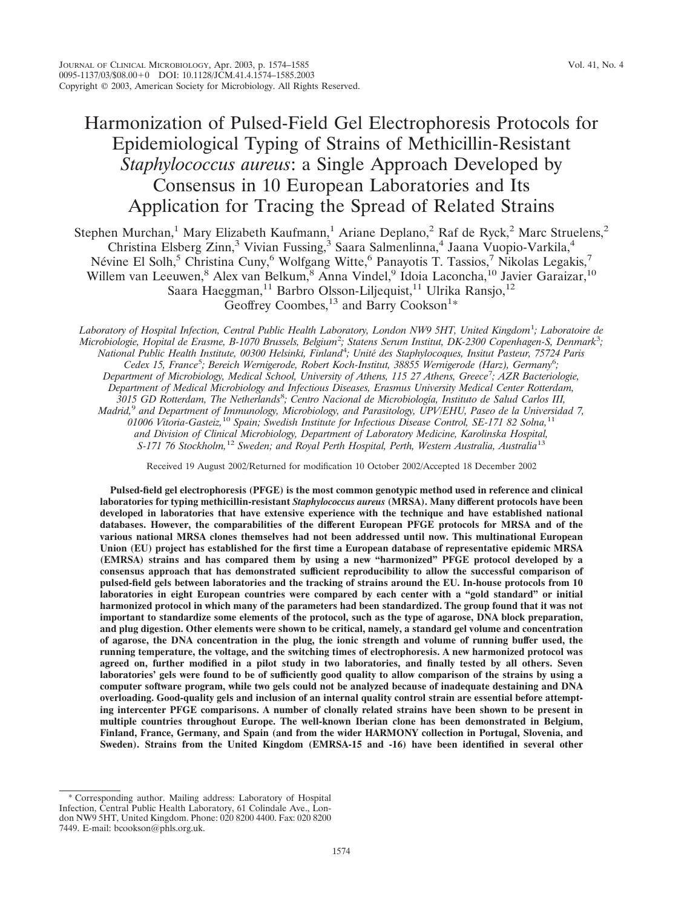# Harmonization of Pulsed-Field Gel Electrophoresis Protocols for Epidemiological Typing of Strains of Methicillin-Resistant *Staphylococcus aureus*: a Single Approach Developed by Consensus in 10 European Laboratories and Its Application for Tracing the Spread of Related Strains

Stephen Murchan,<sup>1</sup> Mary Elizabeth Kaufmann,<sup>1</sup> Ariane Deplano,<sup>2</sup> Raf de Ryck,<sup>2</sup> Marc Struelens,<sup>2</sup> Christina Elsberg Zinn,<sup>3</sup> Vivian Fussing,<sup>3</sup> Saara Salmenlinna,<sup>4</sup> Jaana Vuopio-Varkila,<sup>4</sup> Névine El Solh,<sup>5</sup> Christina Cuny,<sup>6</sup> Wolfgang Witte,<sup>6</sup> Panayotis T. Tassios,<sup>7</sup> Nikolas Legakis,<sup>7</sup> Willem van Leeuwen,<sup>8</sup> Alex van Belkum,<sup>8</sup> Anna Vindel,<sup>9</sup> Idoia Laconcha,<sup>10</sup> Javier Garaizar,<sup>10</sup> Saara Haeggman,<sup>11</sup> Barbro Olsson-Liljequist,<sup>11</sup> Ulrika Ransjo,<sup>12</sup> Geoffrey Coombes,<sup>13</sup> and Barry Cookson<sup>1\*</sup>

*Laboratory of Hospital Infection, Central Public Health Laboratory, London NW9 5HT, United Kingdom*<sup>1</sup> *; Laboratoire de Microbiologie, Hopital de Erasme, B-1070 Brussels, Belgium*<sup>2</sup> *; Statens Serum Institut, DK-2300 Copenhagen-S, Denmark*<sup>3</sup> *; National Public Health Institute, 00300 Helsinki, Finland*<sup>4</sup> *; Unite´ des Staphylocoques, Insitut Pasteur, 75724 Paris* Cedex 15, France<sup>5</sup>; Bereich Wernigerode, Robert Koch-Institut, 38855 Wernigerode (Harz), Germany<sup>6</sup>; *Department of Microbiology, Medical School, University of Athens, 115 27 Athens, Greece*<sup>7</sup> *; AZR Bacteriologie, Department of Medical Microbiology and Infectious Diseases, Erasmus University Medical Center Rotterdam, 3015 GD Rotterdam, The Netherlands*<sup>8</sup> *; Centro Nacional de Microbiología, Instituto de Salud Carlos III, Madrid,*<sup>9</sup> *and Department of Immunology, Microbiology, and Parasitology, UPV/EHU, Paseo de la Universidad 7, 01006 Vitoria-Gasteiz,*<sup>10</sup> *Spain; Swedish Institute for Infectious Disease Control, SE-171 82 Solna,*<sup>11</sup> *and Division of Clinical Microbiology, Department of Laboratory Medicine, Karolinska Hospital, S-171 76 Stockholm,*<sup>12</sup> *Sweden; and Royal Perth Hospital, Perth, Western Australia, Australia*<sup>13</sup>

Received 19 August 2002/Returned for modification 10 October 2002/Accepted 18 December 2002

**Pulsed-field gel electrophoresis (PFGE) is the most common genotypic method used in reference and clinical laboratories for typing methicillin-resistant** *Staphylococcus aureus* **(MRSA). Many different protocols have been developed in laboratories that have extensive experience with the technique and have established national databases. However, the comparabilities of the different European PFGE protocols for MRSA and of the various national MRSA clones themselves had not been addressed until now. This multinational European Union (EU) project has established for the first time a European database of representative epidemic MRSA (EMRSA) strains and has compared them by using a new "harmonized" PFGE protocol developed by a consensus approach that has demonstrated sufficient reproducibility to allow the successful comparison of pulsed-field gels between laboratories and the tracking of strains around the EU. In-house protocols from 10 laboratories in eight European countries were compared by each center with a "gold standard" or initial harmonized protocol in which many of the parameters had been standardized. The group found that it was not important to standardize some elements of the protocol, such as the type of agarose, DNA block preparation, and plug digestion. Other elements were shown to be critical, namely, a standard gel volume and concentration of agarose, the DNA concentration in the plug, the ionic strength and volume of running buffer used, the running temperature, the voltage, and the switching times of electrophoresis. A new harmonized protocol was agreed on, further modified in a pilot study in two laboratories, and finally tested by all others. Seven laboratories' gels were found to be of sufficiently good quality to allow comparison of the strains by using a computer software program, while two gels could not be analyzed because of inadequate destaining and DNA overloading. Good-quality gels and inclusion of an internal quality control strain are essential before attempting intercenter PFGE comparisons. A number of clonally related strains have been shown to be present in multiple countries throughout Europe. The well-known Iberian clone has been demonstrated in Belgium, Finland, France, Germany, and Spain (and from the wider HARMONY collection in Portugal, Slovenia, and Sweden). Strains from the United Kingdom (EMRSA-15 and -16) have been identified in several other**

Corresponding author. Mailing address: Laboratory of Hospital Infection, Central Public Health Laboratory, 61 Colindale Ave., London NW9 5HT, United Kingdom. Phone: 020 8200 4400. Fax: 020 8200 7449. E-mail: bcookson@phls.org.uk.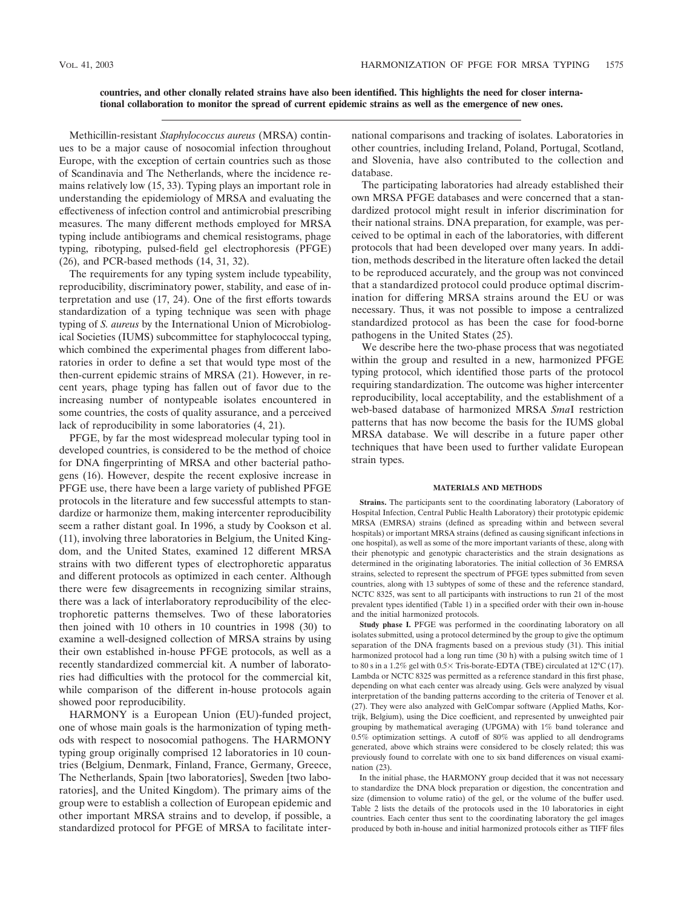## **countries, and other clonally related strains have also been identified. This highlights the need for closer international collaboration to monitor the spread of current epidemic strains as well as the emergence of new ones.**

Methicillin-resistant *Staphylococcus aureus* (MRSA) continues to be a major cause of nosocomial infection throughout Europe, with the exception of certain countries such as those of Scandinavia and The Netherlands, where the incidence remains relatively low (15, 33). Typing plays an important role in understanding the epidemiology of MRSA and evaluating the effectiveness of infection control and antimicrobial prescribing measures. The many different methods employed for MRSA typing include antibiograms and chemical resistograms, phage typing, ribotyping, pulsed-field gel electrophoresis (PFGE) (26), and PCR-based methods (14, 31, 32).

The requirements for any typing system include typeability, reproducibility, discriminatory power, stability, and ease of interpretation and use (17, 24). One of the first efforts towards standardization of a typing technique was seen with phage typing of *S. aureus* by the International Union of Microbiological Societies (IUMS) subcommittee for staphylococcal typing, which combined the experimental phages from different laboratories in order to define a set that would type most of the then-current epidemic strains of MRSA (21). However, in recent years, phage typing has fallen out of favor due to the increasing number of nontypeable isolates encountered in some countries, the costs of quality assurance, and a perceived lack of reproducibility in some laboratories (4, 21).

PFGE, by far the most widespread molecular typing tool in developed countries, is considered to be the method of choice for DNA fingerprinting of MRSA and other bacterial pathogens (16). However, despite the recent explosive increase in PFGE use, there have been a large variety of published PFGE protocols in the literature and few successful attempts to standardize or harmonize them, making intercenter reproducibility seem a rather distant goal. In 1996, a study by Cookson et al. (11), involving three laboratories in Belgium, the United Kingdom, and the United States, examined 12 different MRSA strains with two different types of electrophoretic apparatus and different protocols as optimized in each center. Although there were few disagreements in recognizing similar strains, there was a lack of interlaboratory reproducibility of the electrophoretic patterns themselves. Two of these laboratories then joined with 10 others in 10 countries in 1998 (30) to examine a well-designed collection of MRSA strains by using their own established in-house PFGE protocols, as well as a recently standardized commercial kit. A number of laboratories had difficulties with the protocol for the commercial kit, while comparison of the different in-house protocols again showed poor reproducibility.

HARMONY is a European Union (EU)-funded project, one of whose main goals is the harmonization of typing methods with respect to nosocomial pathogens. The HARMONY typing group originally comprised 12 laboratories in 10 countries (Belgium, Denmark, Finland, France, Germany, Greece, The Netherlands, Spain [two laboratories], Sweden [two laboratories], and the United Kingdom). The primary aims of the group were to establish a collection of European epidemic and other important MRSA strains and to develop, if possible, a standardized protocol for PFGE of MRSA to facilitate international comparisons and tracking of isolates. Laboratories in other countries, including Ireland, Poland, Portugal, Scotland, and Slovenia, have also contributed to the collection and database.

The participating laboratories had already established their own MRSA PFGE databases and were concerned that a standardized protocol might result in inferior discrimination for their national strains. DNA preparation, for example, was perceived to be optimal in each of the laboratories, with different protocols that had been developed over many years. In addition, methods described in the literature often lacked the detail to be reproduced accurately, and the group was not convinced that a standardized protocol could produce optimal discrimination for differing MRSA strains around the EU or was necessary. Thus, it was not possible to impose a centralized standardized protocol as has been the case for food-borne pathogens in the United States (25).

We describe here the two-phase process that was negotiated within the group and resulted in a new, harmonized PFGE typing protocol, which identified those parts of the protocol requiring standardization. The outcome was higher intercenter reproducibility, local acceptability, and the establishment of a web-based database of harmonized MRSA *Sma*I restriction patterns that has now become the basis for the IUMS global MRSA database. We will describe in a future paper other techniques that have been used to further validate European strain types.

### **MATERIALS AND METHODS**

**Strains.** The participants sent to the coordinating laboratory (Laboratory of Hospital Infection, Central Public Health Laboratory) their prototypic epidemic MRSA (EMRSA) strains (defined as spreading within and between several hospitals) or important MRSA strains (defined as causing significant infections in one hospital), as well as some of the more important variants of these, along with their phenotypic and genotypic characteristics and the strain designations as determined in the originating laboratories. The initial collection of 36 EMRSA strains, selected to represent the spectrum of PFGE types submitted from seven countries, along with 13 subtypes of some of these and the reference standard, NCTC 8325, was sent to all participants with instructions to run 21 of the most prevalent types identified (Table 1) in a specified order with their own in-house and the initial harmonized protocols.

**Study phase I.** PFGE was performed in the coordinating laboratory on all isolates submitted, using a protocol determined by the group to give the optimum separation of the DNA fragments based on a previous study (31). This initial harmonized protocol had a long run time (30 h) with a pulsing switch time of 1 to 80 s in a 1.2% gel with  $0.5 \times$  Tris-borate-EDTA (TBE) circulated at 12°C (17). Lambda or NCTC 8325 was permitted as a reference standard in this first phase, depending on what each center was already using. Gels were analyzed by visual interpretation of the banding patterns according to the criteria of Tenover et al. (27). They were also analyzed with GelCompar software (Applied Maths, Kortrijk, Belgium), using the Dice coefficient, and represented by unweighted pair grouping by mathematical averaging (UPGMA) with 1% band tolerance and 0.5% optimization settings. A cutoff of 80% was applied to all dendrograms generated, above which strains were considered to be closely related; this was previously found to correlate with one to six band differences on visual examination (23).

In the initial phase, the HARMONY group decided that it was not necessary to standardize the DNA block preparation or digestion, the concentration and size (dimension to volume ratio) of the gel, or the volume of the buffer used. Table 2 lists the details of the protocols used in the 10 laboratories in eight countries. Each center thus sent to the coordinating laboratory the gel images produced by both in-house and initial harmonized protocols either as TIFF files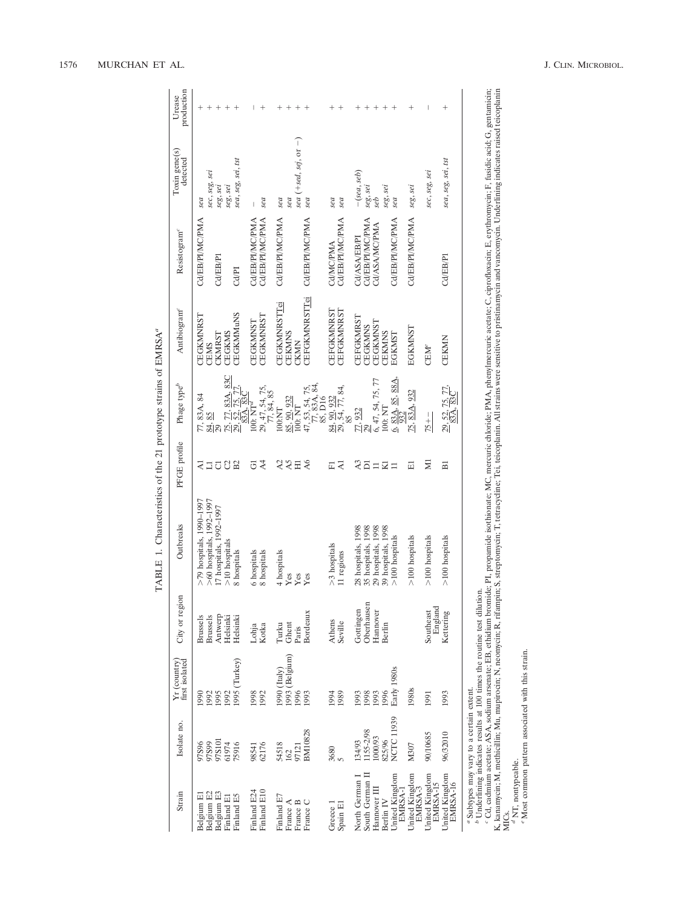| Strain                                                         | Isolate no.                              | Yr (country)<br>first isolated                                            | City or region                                | Outbreaks                                                                                                                                                                                                                                                                                                                                                                                                                                                         | PFGE profile                                    | Phage type <sup>b</sup>                                                                          | Antibiogram <sup>c</sup>                                  | Resistogram <sup>c</sup>                                       | Toxin gene(s)<br>detected                                        | production<br>Urease                 |
|----------------------------------------------------------------|------------------------------------------|---------------------------------------------------------------------------|-----------------------------------------------|-------------------------------------------------------------------------------------------------------------------------------------------------------------------------------------------------------------------------------------------------------------------------------------------------------------------------------------------------------------------------------------------------------------------------------------------------------------------|-------------------------------------------------|--------------------------------------------------------------------------------------------------|-----------------------------------------------------------|----------------------------------------------------------------|------------------------------------------------------------------|--------------------------------------|
| Belgium E3<br>Belgium E2<br>Belgium E1                         | 97S101<br>97S99<br>97S96                 | 1992<br>1995<br>0661                                                      | Antwerp<br>Brussels<br><b>Brussels</b>        | >60 hospitals, 1992-1997<br>$>79$ hospitals, 1990-1997<br>17 hospitals, 1992-1997                                                                                                                                                                                                                                                                                                                                                                                 | ੜ<br>Ξ                                          | 83A, 84<br>85<br>si,<br>$\overline{29}$                                                          | CEGKMNRST<br><b>CKMRST</b><br>CEMS                        | <b>Cd/EB/PI/MC/PMA</b><br>Cd/EB/P1                             | sec, seg, sei<br>seg, sei<br>sea                                 | $^{+}$<br>$\hspace{0.1mm} +$         |
| Finland E5<br>Finland E1                                       | 61974<br>75916                           | 1995 (Turkey)<br>1992                                                     | Helsinki<br>Helsinki                          | $>10$ hospitals<br>8 hospitals                                                                                                                                                                                                                                                                                                                                                                                                                                    | <b>U &amp; &amp;</b>                            | $\frac{75}{29}, \frac{77}{52}, \frac{83A}{75}, \frac{83C}{77}$ $\frac{29}{83A}, \frac{83C}{83C}$ | CEGKMMuNS<br>CEGKMS                                       | Cd/PI                                                          | sea, seg, sei, tst<br>seg, sei                                   | $\! +$<br>$^{+}$                     |
| Finland E10<br>Finland E24                                     | 62176<br>98541                           | 1998<br>1992                                                              | Kotka<br>Lohja                                | 6 hospitals<br>8 hospitals                                                                                                                                                                                                                                                                                                                                                                                                                                        | $\overline{G}$<br>$\overline{A}$                | $29, 47, 54, 75,$<br>$77, 84, 85$<br>100: $NT^{\overline{d}}$                                    | CEGKMNRST<br><b>CEGKMNST</b>                              | <b>Cd/EB/PI/MC/PMA</b><br>Cd/EB/PI/MC/PMA                      | sea<br>$\overline{1}$                                            | $^{+}$                               |
| Finland E7<br>France A<br>France B<br>France C                 | BM10828<br>54518<br>97121<br>162         | 1993 (Belgium)<br>(1990 (Italy))<br>1996<br>1993                          | Bordeaux<br>Ghent<br>Turku<br>Paris           | 4 hospitals<br>Yes<br>Yes<br>Yes                                                                                                                                                                                                                                                                                                                                                                                                                                  | $\lambda$<br>$\lambda$<br>$\lambda$ 6<br>日      | $47, 53, 54, 75,$<br>$77, 83A, 84,$<br>$85,$ D16<br>85, 90, 932<br>100: NT<br>100:NT             | <b>CEFGKMNRSTTei</b><br>CEGKMNRSTTei<br>CEKMNS<br>CKMIN   | <b>Cd/EB/PI/MC/PMA</b><br><b>Cd/EB/PI/MC/PMA</b>               | sea $(+\text{sed},\text{sej},\text{ or }-)$<br>sea<br>sea<br>sea | $^{+}$<br>$^{+}$<br>$^{+}$<br>$^{+}$ |
| Spain E1<br>Greece 1                                           | 3680                                     | 1989<br>1994                                                              | Athens<br>Seville                             | $>3$ hospitals<br>11 regions                                                                                                                                                                                                                                                                                                                                                                                                                                      | $\overline{A}$<br>园                             | $\frac{84}{29}, \frac{90}{54}, \frac{932}{77}, \frac{1}{84},$                                    | <b>CEFGKMNRST</b><br><b>CEFGKMNRST</b>                    | Cd/EB/PI/MC/PMA<br>Cd/MC/PMA                                   | sea<br>sea                                                       | $\overline{+}$<br>$^{+}$             |
| South German II<br>North German I<br>Hannover III<br>Berlin IV | 155-2/98<br>1000/93<br>825/96<br>134/93  | 1998<br>1993<br>1996<br>1993                                              | Oberhausen<br>Gottingen<br>Hannover<br>Berlin | 28 hospitals, 1998<br>35 hospitals, 1998<br>29 hospitals, 1998<br>39 hospitals, 1998                                                                                                                                                                                                                                                                                                                                                                              | $\mathcal{A}$<br>$\overline{D}$<br>KI<br>$\Box$ | 6, 47, 54, 75, 77<br>100: NT<br>$\frac{77}{29}$ , 932                                            | <b>CEFGKMRST</b><br>CEGKMNST<br><b>CEGKMNS</b><br>CEKMINS | <b>Cd/EB/PI/MC/PMA</b><br><b>Cd/ASA/MC/PMA</b><br>Cd/ASA/EB/PI | $-(sea, seb)$<br>seg, sei<br>seg, sei<br>seb                     | $^{+}$<br>$^{+}$<br>$^{+}$           |
| United Kingdom<br>EMRSA-1<br>United Kingdom<br>EMRSA-3         | <b>NCTC 11939</b><br>M307                | Early 1980s<br>1980s                                                      |                                               | $>100$ hospitals<br>$>100$ hospitals                                                                                                                                                                                                                                                                                                                                                                                                                              | 囩<br>$\Box$                                     | $\frac{6}{932}$ 85, 88A,<br>75, 83A, 932                                                         | EGKMNST<br>EGKMST                                         | <b>Cd/EB/PI/MC/PMA</b><br><b>Cd/EB/PI/MC/PMA</b>               | seg, sei<br>sea                                                  | $^{+}$<br>$^+$                       |
| United Kingdom<br>EMRSA-15                                     | 90/10685                                 | 1991                                                                      | England<br>Southeast                          | $>100$ hospitals                                                                                                                                                                                                                                                                                                                                                                                                                                                  | Σ                                               | $75 + -$                                                                                         | <b>CEM<sup>e</sup></b>                                    |                                                                | sec, seg, sei                                                    |                                      |
| United Kingdom<br>EMRSA-16                                     | 96/32010                                 | 1993                                                                      | Kettering                                     | $>100$ hospitals                                                                                                                                                                                                                                                                                                                                                                                                                                                  | 囩                                               | $\frac{75}{83}$ $\frac{77}{8}$<br>$\frac{29}{83 \text{Å}}$                                       | CEKMN                                                     | Cd/EB/P1                                                       | sea, seg, sei, tst                                               | $^{+}$                               |
| MICs.                                                          | " Subtypes may vary to a certain extent. | $b$ Underlining indicates results at 100 times the routine test dilution. |                                               | <sup>c</sup> Cd, cadmium acetate; ASA, sodium arsenate; EB, ethidium bromide; PI, propamide isothionate; MC, mercuric chloride; PMA, phenylmercuric acetate; C, ciprofloxacin; E, erythromycin; F, fusidic acid; G, gentamicin;<br>K, kanamycin; M, methicillin; Mu, mupirocin; N, neomycin; R, rifampin; S, streptomycin; T, tetracycline; Tei, teicoplanin. All strains were sensitive to pristinamycin and vancomycin. Underlining indicates raised teicoplani |                                                 |                                                                                                  |                                                           |                                                                |                                                                  |                                      |
| <sup>d</sup> NT, nontypeable.                                  |                                          | <sup>e</sup> Most common pattern associated with this strain.             |                                               |                                                                                                                                                                                                                                                                                                                                                                                                                                                                   |                                                 |                                                                                                  |                                                           |                                                                |                                                                  |                                      |

TABLE 1. Characteristics of the 21 prototype strains of EMRSA<sup>a</sup> TABLE 1. Characteristics of the 21 prototype strains of EMRSA*a*

1576 MURCHAN ET AL. J. CLIN. MICROBIOL.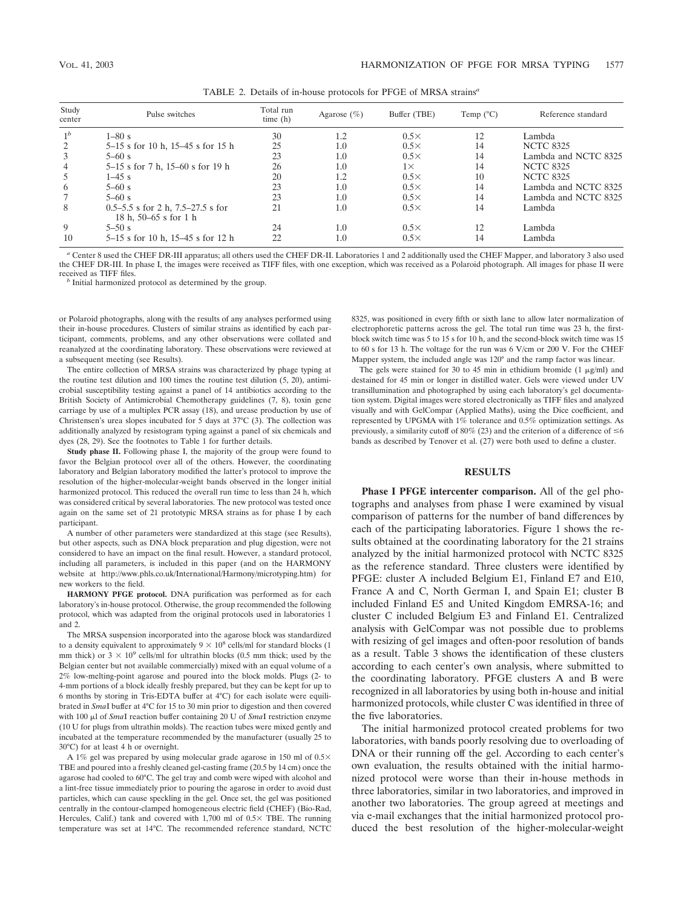| Pulse switches                                               | Total run<br>time(h) | Agarose $(\% )$ | Buffer (TBE) | Temp $(^{\circ}C)$ | Reference standard   |
|--------------------------------------------------------------|----------------------|-----------------|--------------|--------------------|----------------------|
| $1-80s$                                                      | 30                   | 1.2             | $0.5\times$  | 12                 | Lambda               |
| 5–15 s for 10 h, 15–45 s for 15 h                            | 25                   | 1.0             | $0.5\times$  | 14                 | <b>NCTC 8325</b>     |
| $5 - 60$ s                                                   | 23                   | 1.0             | $0.5\times$  | 14                 | Lambda and NCTC 8325 |
| 5–15 s for 7 h, 15–60 s for 19 h                             | 26                   | 1.0             | $1\times$    | 14                 | <b>NCTC 8325</b>     |
| $1-45$ s                                                     | 20                   | 1.2             | $0.5\times$  | 10                 | <b>NCTC 8325</b>     |
| $5 - 60$ s                                                   | 23                   | 1.0             | $0.5\times$  | 14                 | Lambda and NCTC 8325 |
| $5 - 60$ s                                                   | 23                   | 1.0             | $0.5\times$  | 14                 | Lambda and NCTC 8325 |
| $0.5-5.5$ s for 2 h, 7.5-27.5 s for<br>18 h, 50–65 s for 1 h | 21                   | 1.0             | $0.5\times$  | 14                 | Lambda               |
| $5 - 50$ s                                                   | 24                   | 1.0             | $0.5\times$  | 12                 | Lambda               |
| 5–15 s for 10 h, 15–45 s for 12 h                            | 22                   | 1.0             | $0.5\times$  | 14                 | Lambda               |
|                                                              |                      |                 |              |                    |                      |

*<sup>a</sup>* Center 8 used the CHEF DR-III apparatus; all others used the CHEF DR-II. Laboratories 1 and 2 additionally used the CHEF Mapper, and laboratory 3 also used the CHEF DR-III. In phase I, the images were received as TIFF files, with one exception, which was received as a Polaroid photograph. All images for phase II were received as TIFF files.

<sup>b</sup> Initial harmonized protocol as determined by the group.

or Polaroid photographs, along with the results of any analyses performed using their in-house procedures. Clusters of similar strains as identified by each participant, comments, problems, and any other observations were collated and reanalyzed at the coordinating laboratory. These observations were reviewed at a subsequent meeting (see Results).

The entire collection of MRSA strains was characterized by phage typing at the routine test dilution and 100 times the routine test dilution (5, 20), antimicrobial susceptibility testing against a panel of 14 antibiotics according to the British Society of Antimicrobial Chemotherapy guidelines (7, 8), toxin gene carriage by use of a multiplex PCR assay (18), and urease production by use of Christensen's urea slopes incubated for 5 days at 37°C (3). The collection was additionally analyzed by resistogram typing against a panel of six chemicals and dyes (28, 29). See the footnotes to Table 1 for further details.

**Study phase II.** Following phase I, the majority of the group were found to favor the Belgian protocol over all of the others. However, the coordinating laboratory and Belgian laboratory modified the latter's protocol to improve the resolution of the higher-molecular-weight bands observed in the longer initial harmonized protocol. This reduced the overall run time to less than 24 h, which was considered critical by several laboratories. The new protocol was tested once again on the same set of 21 prototypic MRSA strains as for phase I by each participant.

A number of other parameters were standardized at this stage (see Results), but other aspects, such as DNA block preparation and plug digestion, were not considered to have an impact on the final result. However, a standard protocol, including all parameters, is included in this paper (and on the HARMONY website at http://www.phls.co.uk/International/Harmony/microtyping.htm) for new workers to the field.

**HARMONY PFGE protocol.** DNA purification was performed as for each laboratory's in-house protocol. Otherwise, the group recommended the following protocol, which was adapted from the original protocols used in laboratories 1 and 2.

The MRSA suspension incorporated into the agarose block was standardized to a density equivalent to approximately  $9 \times 10^8$  cells/ml for standard blocks (1) mm thick) or  $3 \times 10^9$  cells/ml for ultrathin blocks (0.5 mm thick; used by the Belgian center but not available commercially) mixed with an equal volume of a 2% low-melting-point agarose and poured into the block molds. Plugs (2- to 4-mm portions of a block ideally freshly prepared, but they can be kept for up to 6 months by storing in Tris-EDTA buffer at 4°C) for each isolate were equilibrated in *Sma*I buffer at 4°C for 15 to 30 min prior to digestion and then covered with 100 µl of *SmaI* reaction buffer containing 20 U of *SmaI* restriction enzyme (10 U for plugs from ultrathin molds). The reaction tubes were mixed gently and incubated at the temperature recommended by the manufacturer (usually 25 to 30°C) for at least 4 h or overnight.

A 1% gel was prepared by using molecular grade agarose in 150 ml of  $0.5\times$ TBE and poured into a freshly cleaned gel-casting frame (20.5 by 14 cm) once the agarose had cooled to 60°C. The gel tray and comb were wiped with alcohol and a lint-free tissue immediately prior to pouring the agarose in order to avoid dust particles, which can cause speckling in the gel. Once set, the gel was positioned centrally in the contour-clamped homogeneous electric field (CHEF) (Bio-Rad, Hercules, Calif.) tank and covered with  $1,700$  ml of  $0.5 \times$  TBE. The running temperature was set at 14°C. The recommended reference standard, NCTC 8325, was positioned in every fifth or sixth lane to allow later normalization of electrophoretic patterns across the gel. The total run time was 23 h, the firstblock switch time was 5 to 15 s for 10 h, and the second-block switch time was 15 to 60 s for 13 h. The voltage for the run was 6 V/cm or 200 V. For the CHEF Mapper system, the included angle was 120° and the ramp factor was linear.

The gels were stained for 30 to 45 min in ethidium bromide  $(1 \mu g/ml)$  and destained for 45 min or longer in distilled water. Gels were viewed under UV transillumination and photographed by using each laboratory's gel documentation system. Digital images were stored electronically as TIFF files and analyzed visually and with GelCompar (Applied Maths), using the Dice coefficient, and represented by UPGMA with 1% tolerance and 0.5% optimization settings. As previously, a similarity cutoff of 80% (23) and the criterion of a difference of  $\leq 6$ bands as described by Tenover et al. (27) were both used to define a cluster.

## **RESULTS**

**Phase I PFGE intercenter comparison.** All of the gel photographs and analyses from phase I were examined by visual comparison of patterns for the number of band differences by each of the participating laboratories. Figure 1 shows the results obtained at the coordinating laboratory for the 21 strains analyzed by the initial harmonized protocol with NCTC 8325 as the reference standard. Three clusters were identified by PFGE: cluster A included Belgium E1, Finland E7 and E10, France A and C, North German I, and Spain E1; cluster B included Finland E5 and United Kingdom EMRSA-16; and cluster C included Belgium E3 and Finland E1. Centralized analysis with GelCompar was not possible due to problems with resizing of gel images and often-poor resolution of bands as a result. Table 3 shows the identification of these clusters according to each center's own analysis, where submitted to the coordinating laboratory. PFGE clusters A and B were recognized in all laboratories by using both in-house and initial harmonized protocols, while cluster C was identified in three of the five laboratories.

The initial harmonized protocol created problems for two laboratories, with bands poorly resolving due to overloading of DNA or their running off the gel. According to each center's own evaluation, the results obtained with the initial harmonized protocol were worse than their in-house methods in three laboratories, similar in two laboratories, and improved in another two laboratories. The group agreed at meetings and via e-mail exchanges that the initial harmonized protocol produced the best resolution of the higher-molecular-weight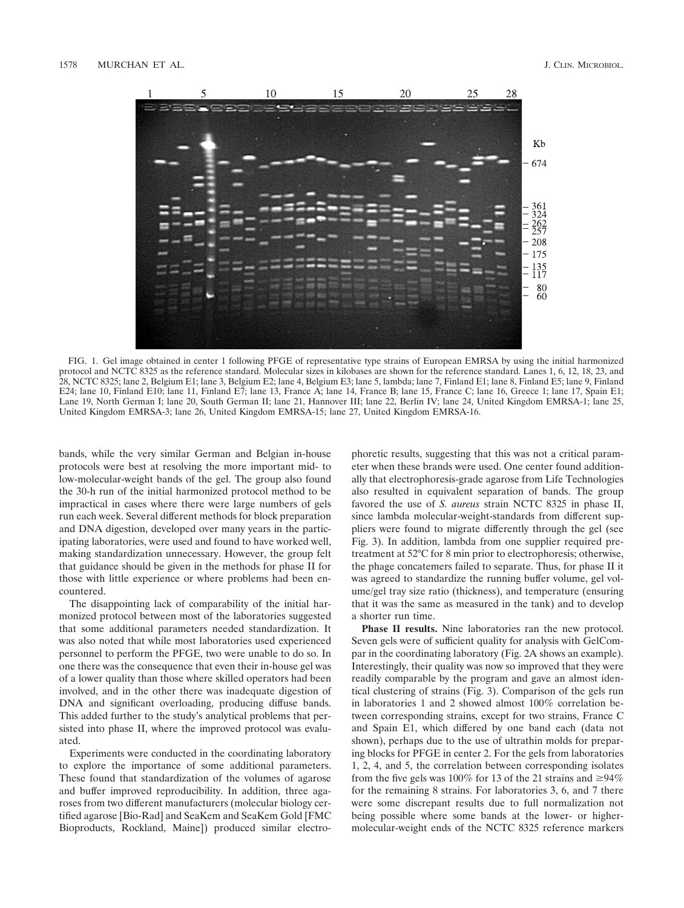

FIG. 1. Gel image obtained in center 1 following PFGE of representative type strains of European EMRSA by using the initial harmonized protocol and NCTC 8325 as the reference standard. Molecular sizes in kilobases are shown for the reference standard. Lanes 1, 6, 12, 18, 23, and 28, NCTC 8325; lane 2, Belgium E1; lane 3, Belgium E2; lane 4, Belgium E3; lane 5, lambda; lane 7, Finland E1; lane 8, Finland E5; lane 9, Finland E24; lane 10, Finland E10; lane 11, Finland E7; lane 13, France A; lane 14, France B; lane 15, France C; lane 16, Greece 1; lane 17, Spain E1; Lane 19, North German I; lane 20, South German II; lane 21, Hannover III; lane 22, Berlin IV; lane 24, United Kingdom EMRSA-1; lane 25, United Kingdom EMRSA-3; lane 26, United Kingdom EMRSA-15; lane 27, United Kingdom EMRSA-16.

bands, while the very similar German and Belgian in-house protocols were best at resolving the more important mid- to low-molecular-weight bands of the gel. The group also found the 30-h run of the initial harmonized protocol method to be impractical in cases where there were large numbers of gels run each week. Several different methods for block preparation and DNA digestion, developed over many years in the participating laboratories, were used and found to have worked well, making standardization unnecessary. However, the group felt that guidance should be given in the methods for phase II for those with little experience or where problems had been encountered.

The disappointing lack of comparability of the initial harmonized protocol between most of the laboratories suggested that some additional parameters needed standardization. It was also noted that while most laboratories used experienced personnel to perform the PFGE, two were unable to do so. In one there was the consequence that even their in-house gel was of a lower quality than those where skilled operators had been involved, and in the other there was inadequate digestion of DNA and significant overloading, producing diffuse bands. This added further to the study's analytical problems that persisted into phase II, where the improved protocol was evaluated.

Experiments were conducted in the coordinating laboratory to explore the importance of some additional parameters. These found that standardization of the volumes of agarose and buffer improved reproducibility. In addition, three agaroses from two different manufacturers (molecular biology certified agarose [Bio-Rad] and SeaKem and SeaKem Gold [FMC Bioproducts, Rockland, Maine]) produced similar electrophoretic results, suggesting that this was not a critical parameter when these brands were used. One center found additionally that electrophoresis-grade agarose from Life Technologies also resulted in equivalent separation of bands. The group favored the use of *S. aureus* strain NCTC 8325 in phase II, since lambda molecular-weight-standards from different suppliers were found to migrate differently through the gel (see Fig. 3). In addition, lambda from one supplier required pretreatment at 52°C for 8 min prior to electrophoresis; otherwise, the phage concatemers failed to separate. Thus, for phase II it was agreed to standardize the running buffer volume, gel volume/gel tray size ratio (thickness), and temperature (ensuring that it was the same as measured in the tank) and to develop a shorter run time.

**Phase II results.** Nine laboratories ran the new protocol. Seven gels were of sufficient quality for analysis with GelCompar in the coordinating laboratory (Fig. 2A shows an example). Interestingly, their quality was now so improved that they were readily comparable by the program and gave an almost identical clustering of strains (Fig. 3). Comparison of the gels run in laboratories 1 and 2 showed almost 100% correlation between corresponding strains, except for two strains, France C and Spain E1, which differed by one band each (data not shown), perhaps due to the use of ultrathin molds for preparing blocks for PFGE in center 2. For the gels from laboratories 1, 2, 4, and 5, the correlation between corresponding isolates from the five gels was 100% for 13 of the 21 strains and  $\geq$ 94% for the remaining 8 strains. For laboratories 3, 6, and 7 there were some discrepant results due to full normalization not being possible where some bands at the lower- or highermolecular-weight ends of the NCTC 8325 reference markers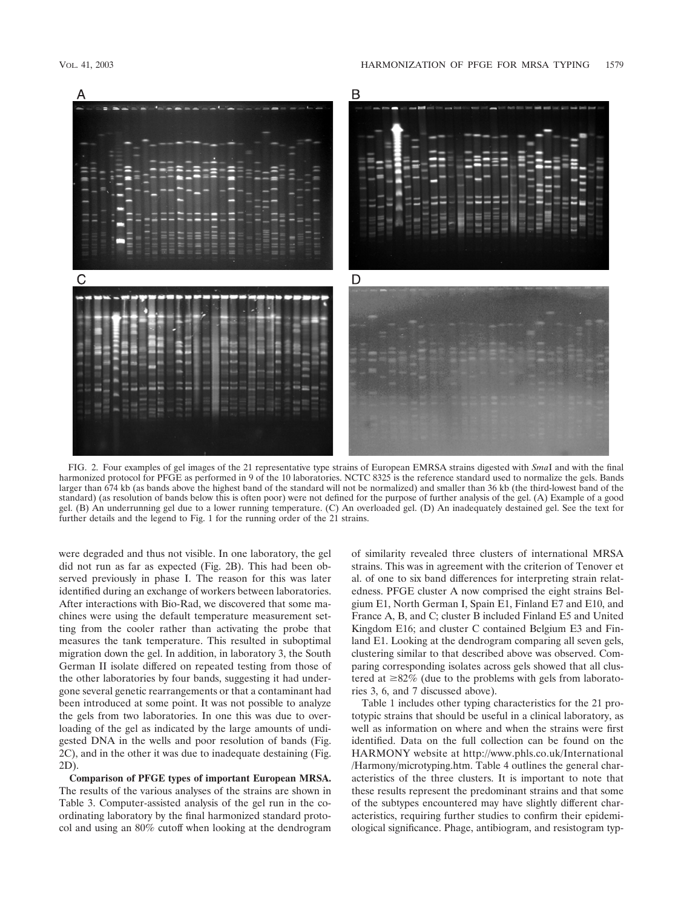

FIG. 2. Four examples of gel images of the 21 representative type strains of European EMRSA strains digested with *Sma*I and with the final harmonized protocol for PFGE as performed in 9 of the 10 laboratories. NCTC 8325 is the reference standard used to normalize the gels. Bands larger than 674 kb (as bands above the highest band of the standard will not be normalized) and smaller than 36 kb (the third-lowest band of the standard) (as resolution of bands below this is often poor) were not defined for the purpose of further analysis of the gel. (A) Example of a good gel. (B) An underrunning gel due to a lower running temperature. (C) An overloaded gel. (D) An inadequately destained gel. See the text for further details and the legend to Fig. 1 for the running order of the 21 strains.

were degraded and thus not visible. In one laboratory, the gel did not run as far as expected (Fig. 2B). This had been observed previously in phase I. The reason for this was later identified during an exchange of workers between laboratories. After interactions with Bio-Rad, we discovered that some machines were using the default temperature measurement setting from the cooler rather than activating the probe that measures the tank temperature. This resulted in suboptimal migration down the gel. In addition, in laboratory 3, the South German II isolate differed on repeated testing from those of the other laboratories by four bands, suggesting it had undergone several genetic rearrangements or that a contaminant had been introduced at some point. It was not possible to analyze the gels from two laboratories. In one this was due to overloading of the gel as indicated by the large amounts of undigested DNA in the wells and poor resolution of bands (Fig. 2C), and in the other it was due to inadequate destaining (Fig. 2D).

**Comparison of PFGE types of important European MRSA.** The results of the various analyses of the strains are shown in Table 3. Computer-assisted analysis of the gel run in the coordinating laboratory by the final harmonized standard protocol and using an 80% cutoff when looking at the dendrogram

of similarity revealed three clusters of international MRSA strains. This was in agreement with the criterion of Tenover et al. of one to six band differences for interpreting strain relatedness. PFGE cluster A now comprised the eight strains Belgium E1, North German I, Spain E1, Finland E7 and E10, and France A, B, and C; cluster B included Finland E5 and United Kingdom E16; and cluster C contained Belgium E3 and Finland E1. Looking at the dendrogram comparing all seven gels, clustering similar to that described above was observed. Comparing corresponding isolates across gels showed that all clustered at  $\geq$ 82% (due to the problems with gels from laboratories 3, 6, and 7 discussed above).

Table 1 includes other typing characteristics for the 21 prototypic strains that should be useful in a clinical laboratory, as well as information on where and when the strains were first identified. Data on the full collection can be found on the HARMONY website at http://www.phls.co.uk/International /Harmony/microtyping.htm. Table 4 outlines the general characteristics of the three clusters. It is important to note that these results represent the predominant strains and that some of the subtypes encountered may have slightly different characteristics, requiring further studies to confirm their epidemiological significance. Phage, antibiogram, and resistogram typ-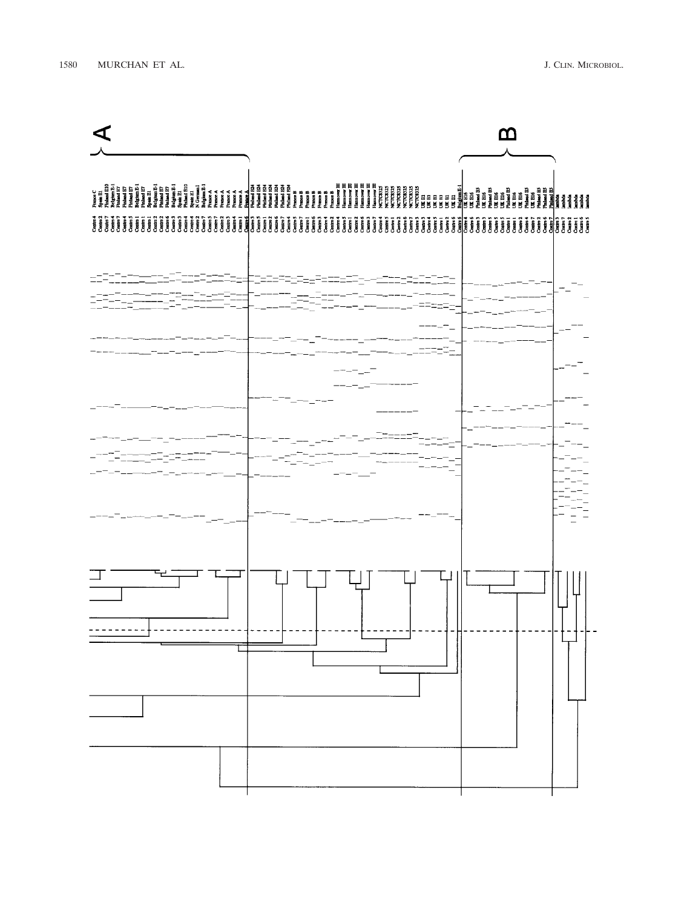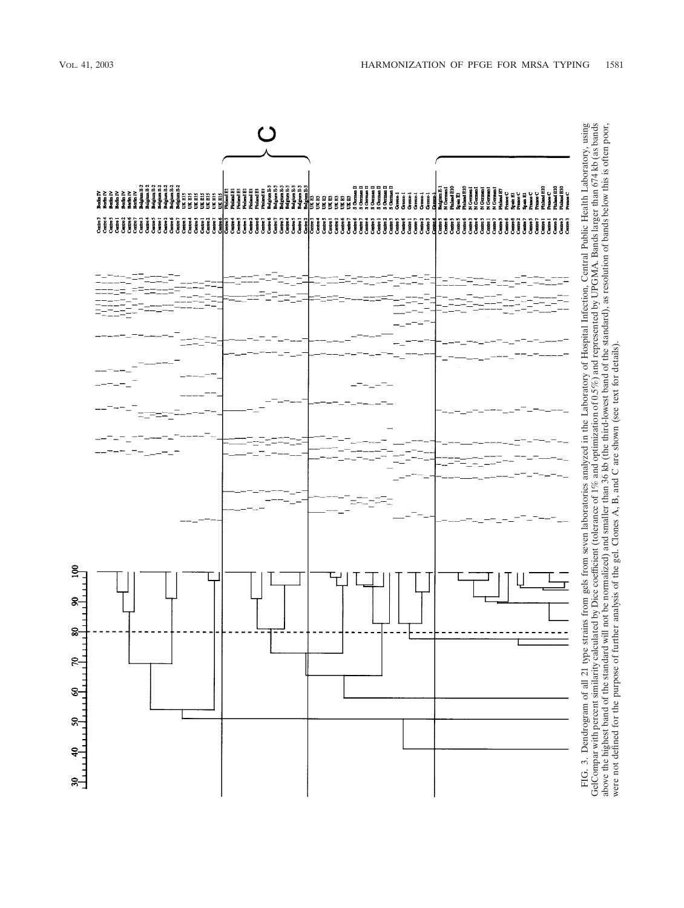

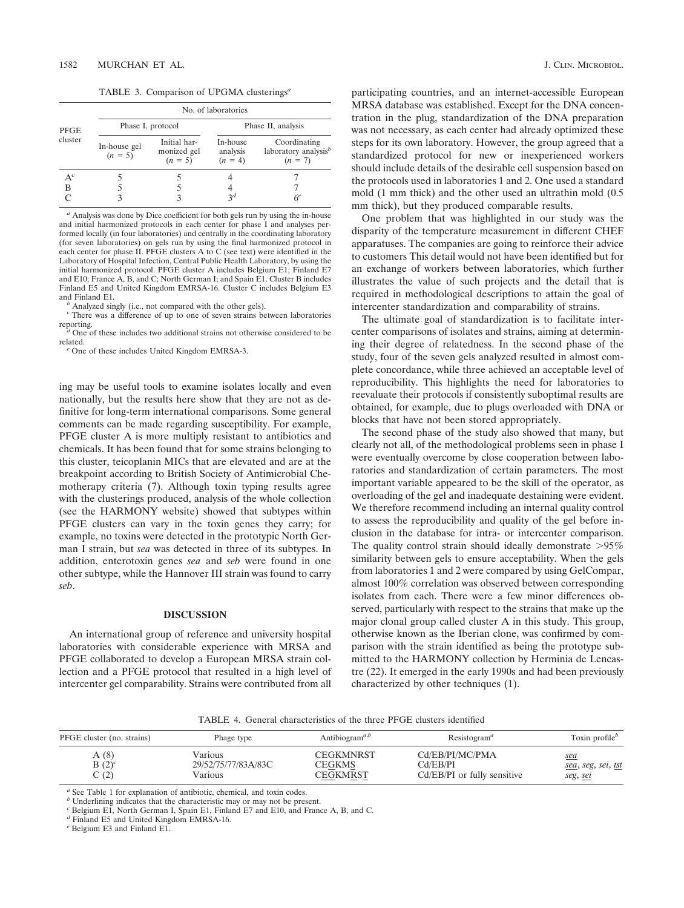TABLE 3. Comparison of UPGMA clusterings*<sup>a</sup>*

|         |                           | No. of laboratories                      |                                   |                                                      |  |  |  |  |
|---------|---------------------------|------------------------------------------|-----------------------------------|------------------------------------------------------|--|--|--|--|
| PFGE    | Phase I, protocol         |                                          |                                   | Phase II, analysis                                   |  |  |  |  |
| cluster | In-house gel<br>$(n = 5)$ | Initial har-<br>monized gel<br>$(n = 5)$ | In-house<br>analysis<br>$(n = 4)$ | Coordinating<br>laboratory analysis $b$<br>$(n = 7)$ |  |  |  |  |
| $A^c$   |                           |                                          |                                   |                                                      |  |  |  |  |
| В       |                           |                                          |                                   |                                                      |  |  |  |  |
|         |                           |                                          | $a^d$                             | $\mathsf{f}^e$                                       |  |  |  |  |

*<sup>a</sup>* Analysis was done by Dice coefficient for both gels run by using the in-house and initial harmonized protocols in each center for phase I and analyses performed locally (in four laboratories) and centrally in the coordinating laboratory (for seven laboratories) on gels run by using the final harmonized protocol in each center for phase II. PFGE clusters A to C (see text) were identified in the Laboratory of Hospital Infection, Central Public Health Laboratory, by using the initial harmonized protocol. PFGE cluster A includes Belgium E1; Finland E7 and E10; France A, B, and C; North German I; and Spain E1. Cluster B includes Finland E5 and United Kingdom EMRSA-16. Cluster C includes Belgium E3

<sup>*b*</sup> Analyzed singly (i.e., not compared with the other gels).

*<sup>c</sup>* There was a difference of up to one of seven strains between laboratories reporting. *<sup>d</sup>* One of these includes two additional strains not otherwise considered to be

related. *<sup>e</sup>* One of these includes United Kingdom EMRSA-3.

ing may be useful tools to examine isolates locally and even nationally, but the results here show that they are not as definitive for long-term international comparisons. Some general comments can be made regarding susceptibility. For example, PFGE cluster A is more multiply resistant to antibiotics and chemicals. It has been found that for some strains belonging to this cluster, teicoplanin MICs that are elevated and are at the breakpoint according to British Society of Antimicrobial Chemotherapy criteria (7). Although toxin typing results agree with the clusterings produced, analysis of the whole collection (see the HARMONY website) showed that subtypes within PFGE clusters can vary in the toxin genes they carry; for example, no toxins were detected in the prototypic North German I strain, but *sea* was detected in three of its subtypes. In addition, enterotoxin genes *sea* and *seb* were found in one other subtype, while the Hannover III strain was found to carry *seb*.

## **DISCUSSION**

An international group of reference and university hospital laboratories with considerable experience with MRSA and PFGE collaborated to develop a European MRSA strain collection and a PFGE protocol that resulted in a high level of intercenter gel comparability. Strains were contributed from all

participating countries, and an internet-accessible European MRSA database was established. Except for the DNA concentration in the plug, standardization of the DNA preparation was not necessary, as each center had already optimized these steps for its own laboratory. However, the group agreed that a standardized protocol for new or inexperienced workers should include details of the desirable cell suspension based on the protocols used in laboratories 1 and 2. One used a standard mold (1 mm thick) and the other used an ultrathin mold (0.5 mm thick), but they produced comparable results.

One problem that was highlighted in our study was the disparity of the temperature measurement in different CHEF apparatuses. The companies are going to reinforce their advice to customers This detail would not have been identified but for an exchange of workers between laboratories, which further illustrates the value of such projects and the detail that is required in methodological descriptions to attain the goal of intercenter standardization and comparability of strains.

The ultimate goal of standardization is to facilitate intercenter comparisons of isolates and strains, aiming at determining their degree of relatedness. In the second phase of the study, four of the seven gels analyzed resulted in almost complete concordance, while three achieved an acceptable level of reproducibility. This highlights the need for laboratories to reevaluate their protocols if consistently suboptimal results are obtained, for example, due to plugs overloaded with DNA or blocks that have not been stored appropriately.

The second phase of the study also showed that many, but clearly not all, of the methodological problems seen in phase I were eventually overcome by close cooperation between laboratories and standardization of certain parameters. The most important variable appeared to be the skill of the operator, as overloading of the gel and inadequate destaining were evident. We therefore recommend including an internal quality control to assess the reproducibility and quality of the gel before inclusion in the database for intra- or intercenter comparison. The quality control strain should ideally demonstrate  $>95\%$ similarity between gels to ensure acceptability. When the gels from laboratories 1 and 2 were compared by using GelCompar, almost 100% correlation was observed between corresponding isolates from each. There were a few minor differences observed, particularly with respect to the strains that make up the major clonal group called cluster A in this study. This group, otherwise known as the Iberian clone, was confirmed by comparison with the strain identified as being the prototype submitted to the HARMONY collection by Herminia de Lencastre (22). It emerged in the early 1990s and had been previously characterized by other techniques (1).

TABLE 4. General characteristics of the three PFGE clusters identified

| PFGE cluster (no. strains) | Phage type          | Antibiogram <sup><i>a</i>,<i>b</i></sup> | Resistogram <sup>a</sup>    | Toxin profile $\theta$            |
|----------------------------|---------------------|------------------------------------------|-----------------------------|-----------------------------------|
| A(8)                       | Various             | <b>CEGKMNRST</b>                         | Cd/EB/PI/MC/PMA             | <u>sea</u>                        |
| $B(2)^c$                   | 29/52/75/77/83A/83C | CEGKMS                                   | Cd/EB/PI                    | <u>sea</u> , seg, sei, <u>tst</u> |
| C(2)                       | Various             | <b>CEGKMRST</b>                          | Cd/EB/PI or fully sensitive | seg, <u>sei</u>                   |

*<sup>a</sup>* See Table 1 for explanation of antibiotic, chemical, and toxin codes.

*b* Underlining indicates that the characteristic may or may not be present.

*<sup>c</sup>* Belgium E1, North German I, Spain E1, Finland E7 and E10, and France A, B, and C.

*<sup>d</sup>* Finland E5 and United Kingdom EMRSA-16.

*<sup>e</sup>* Belgium E3 and Finland E1.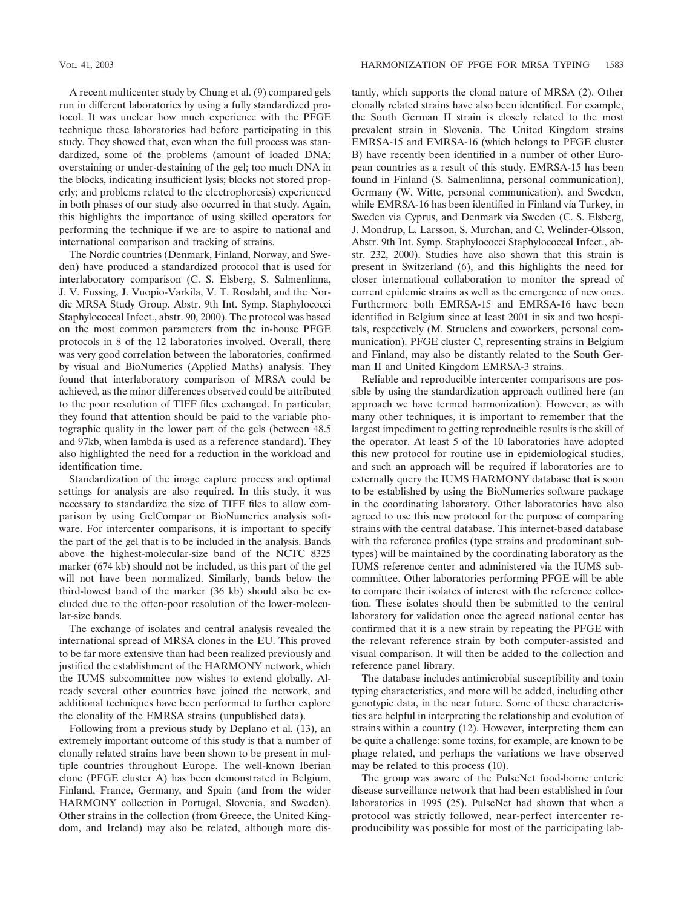A recent multicenter study by Chung et al. (9) compared gels run in different laboratories by using a fully standardized protocol. It was unclear how much experience with the PFGE technique these laboratories had before participating in this study. They showed that, even when the full process was standardized, some of the problems (amount of loaded DNA; overstaining or under-destaining of the gel; too much DNA in the blocks, indicating insufficient lysis; blocks not stored properly; and problems related to the electrophoresis) experienced in both phases of our study also occurred in that study. Again, this highlights the importance of using skilled operators for performing the technique if we are to aspire to national and international comparison and tracking of strains.

The Nordic countries (Denmark, Finland, Norway, and Sweden) have produced a standardized protocol that is used for interlaboratory comparison (C. S. Elsberg, S. Salmenlinna, J. V. Fussing, J. Vuopio-Varkila, V. T. Rosdahl, and the Nordic MRSA Study Group. Abstr. 9th Int. Symp. Staphylococci Staphylococcal Infect., abstr. 90, 2000). The protocol was based on the most common parameters from the in-house PFGE protocols in 8 of the 12 laboratories involved. Overall, there was very good correlation between the laboratories, confirmed by visual and BioNumerics (Applied Maths) analysis. They found that interlaboratory comparison of MRSA could be achieved, as the minor differences observed could be attributed to the poor resolution of TIFF files exchanged. In particular, they found that attention should be paid to the variable photographic quality in the lower part of the gels (between 48.5 and 97kb, when lambda is used as a reference standard). They also highlighted the need for a reduction in the workload and identification time.

Standardization of the image capture process and optimal settings for analysis are also required. In this study, it was necessary to standardize the size of TIFF files to allow comparison by using GelCompar or BioNumerics analysis software. For intercenter comparisons, it is important to specify the part of the gel that is to be included in the analysis. Bands above the highest-molecular-size band of the NCTC 8325 marker (674 kb) should not be included, as this part of the gel will not have been normalized. Similarly, bands below the third-lowest band of the marker (36 kb) should also be excluded due to the often-poor resolution of the lower-molecular-size bands.

The exchange of isolates and central analysis revealed the international spread of MRSA clones in the EU. This proved to be far more extensive than had been realized previously and justified the establishment of the HARMONY network, which the IUMS subcommittee now wishes to extend globally. Already several other countries have joined the network, and additional techniques have been performed to further explore the clonality of the EMRSA strains (unpublished data).

Following from a previous study by Deplano et al. (13), an extremely important outcome of this study is that a number of clonally related strains have been shown to be present in multiple countries throughout Europe. The well-known Iberian clone (PFGE cluster A) has been demonstrated in Belgium, Finland, France, Germany, and Spain (and from the wider HARMONY collection in Portugal, Slovenia, and Sweden). Other strains in the collection (from Greece, the United Kingdom, and Ireland) may also be related, although more distantly, which supports the clonal nature of MRSA (2). Other clonally related strains have also been identified. For example, the South German II strain is closely related to the most prevalent strain in Slovenia. The United Kingdom strains EMRSA-15 and EMRSA-16 (which belongs to PFGE cluster B) have recently been identified in a number of other European countries as a result of this study. EMRSA-15 has been found in Finland (S. Salmenlinna, personal communication), Germany (W. Witte, personal communication), and Sweden, while EMRSA-16 has been identified in Finland via Turkey, in Sweden via Cyprus, and Denmark via Sweden (C. S. Elsberg, J. Mondrup, L. Larsson, S. Murchan, and C. Welinder-Olsson, Abstr. 9th Int. Symp. Staphylococci Staphylococcal Infect., abstr. 232, 2000). Studies have also shown that this strain is present in Switzerland (6), and this highlights the need for closer international collaboration to monitor the spread of current epidemic strains as well as the emergence of new ones. Furthermore both EMRSA-15 and EMRSA-16 have been identified in Belgium since at least 2001 in six and two hospitals, respectively (M. Struelens and coworkers, personal communication). PFGE cluster C, representing strains in Belgium and Finland, may also be distantly related to the South German II and United Kingdom EMRSA-3 strains.

Reliable and reproducible intercenter comparisons are possible by using the standardization approach outlined here (an approach we have termed harmonization). However, as with many other techniques, it is important to remember that the largest impediment to getting reproducible results is the skill of the operator. At least 5 of the 10 laboratories have adopted this new protocol for routine use in epidemiological studies, and such an approach will be required if laboratories are to externally query the IUMS HARMONY database that is soon to be established by using the BioNumerics software package in the coordinating laboratory. Other laboratories have also agreed to use this new protocol for the purpose of comparing strains with the central database. This internet-based database with the reference profiles (type strains and predominant subtypes) will be maintained by the coordinating laboratory as the IUMS reference center and administered via the IUMS subcommittee. Other laboratories performing PFGE will be able to compare their isolates of interest with the reference collection. These isolates should then be submitted to the central laboratory for validation once the agreed national center has confirmed that it is a new strain by repeating the PFGE with the relevant reference strain by both computer-assisted and visual comparison. It will then be added to the collection and reference panel library.

The database includes antimicrobial susceptibility and toxin typing characteristics, and more will be added, including other genotypic data, in the near future. Some of these characteristics are helpful in interpreting the relationship and evolution of strains within a country (12). However, interpreting them can be quite a challenge: some toxins, for example, are known to be phage related, and perhaps the variations we have observed may be related to this process (10).

The group was aware of the PulseNet food-borne enteric disease surveillance network that had been established in four laboratories in 1995 (25). PulseNet had shown that when a protocol was strictly followed, near-perfect intercenter reproducibility was possible for most of the participating lab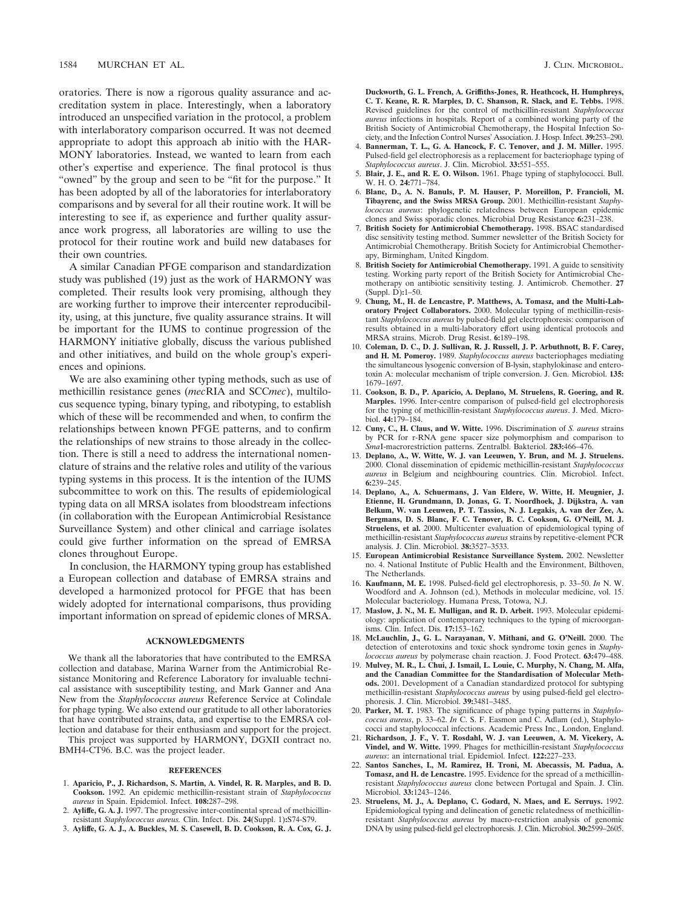oratories. There is now a rigorous quality assurance and accreditation system in place. Interestingly, when a laboratory introduced an unspecified variation in the protocol, a problem with interlaboratory comparison occurred. It was not deemed appropriate to adopt this approach ab initio with the HAR-MONY laboratories. Instead, we wanted to learn from each other's expertise and experience. The final protocol is thus "owned" by the group and seen to be "fit for the purpose." It has been adopted by all of the laboratories for interlaboratory comparisons and by several for all their routine work. It will be interesting to see if, as experience and further quality assurance work progress, all laboratories are willing to use the protocol for their routine work and build new databases for their own countries.

A similar Canadian PFGE comparison and standardization study was published (19) just as the work of HARMONY was completed. Their results look very promising, although they are working further to improve their intercenter reproducibility, using, at this juncture, five quality assurance strains. It will be important for the IUMS to continue progression of the HARMONY initiative globally, discuss the various published and other initiatives, and build on the whole group's experiences and opinions.

We are also examining other typing methods, such as use of methicillin resistance genes (*mec*RIA and SCC*mec*), multilocus sequence typing, binary typing, and ribotyping, to establish which of these will be recommended and when, to confirm the relationships between known PFGE patterns, and to confirm the relationships of new strains to those already in the collection. There is still a need to address the international nomenclature of strains and the relative roles and utility of the various typing systems in this process. It is the intention of the IUMS subcommittee to work on this. The results of epidemiological typing data on all MRSA isolates from bloodstream infections (in collaboration with the European Antimicrobial Resistance Surveillance System) and other clinical and carriage isolates could give further information on the spread of EMRSA clones throughout Europe.

In conclusion, the HARMONY typing group has established a European collection and database of EMRSA strains and developed a harmonized protocol for PFGE that has been widely adopted for international comparisons, thus providing important information on spread of epidemic clones of MRSA.

# **ACKNOWLEDGMENTS**

We thank all the laboratories that have contributed to the EMRSA collection and database, Marina Warner from the Antimicrobial Resistance Monitoring and Reference Laboratory for invaluable technical assistance with susceptibility testing, and Mark Ganner and Ana New from the *Staphylococcus aureus* Reference Service at Colindale for phage typing. We also extend our gratitude to all other laboratories that have contributed strains, data, and expertise to the EMRSA collection and database for their enthusiasm and support for the project.

This project was supported by HARMONY, DGXII contract no. BMH4-CT96. B.C. was the project leader.

#### **REFERENCES**

- 1. **Aparicio, P., J. Richardson, S. Martin, A. Vindel, R. R. Marples, and B. D. Cookson.** 1992. An epidemic methicillin-resistant strain of *Staphylococcus aureus* in Spain. Epidemiol. Infect. **108:**287–298.
- 2. **Ayliffe, G. A. J.** 1997. The progressive inter-continental spread of methicillinresistant *Staphylococcus aureus.* Clin. Infect. Dis. **24**(Suppl. 1)**:**S74-S79.
- 3. **Ayliffe, G. A. J., A. Buckles, M. S. Casewell, B. D. Cookson, R. A. Cox, G. J.**

**Duckworth, G. L. French, A. Griffiths-Jones, R. Heathcock, H. Humphreys, C. T. Keane, R. R. Marples, D. C. Shanson, R. Slack, and E. Tebbs.** 1998. Revised guidelines for the control of methicillin-resistant *Staphylococcus aureus* infections in hospitals. Report of a combined working party of the British Society of Antimicrobial Chemotherapy, the Hospital Infection Society, and the Infection Control Nurses' Association. J. Hosp. Infect. **39:**253–290.

- 4. **Bannerman, T. L., G. A. Hancock, F. C. Tenover, and J. M. Miller.** 1995. Pulsed-field gel electrophoresis as a replacement for bacteriophage typing of *Staphylococcus aureus*. J. Clin. Microbiol. **33:**551–555.
- 5. **Blair, J. E., and R. E. O. Wilson.** 1961. Phage typing of staphylococci. Bull. W. H. O. **24:**771–784.
- 6. **Blanc, D., A. N. Banuls, P. M. Hauser, P. Moreillon, P. Francioli, M. Tibayrenc, and the Swiss MRSA Group.** 2001. Methicillin-resistant *Staphylococcus aureus*: phylogenetic relatedness between European epidemic clones and Swiss sporadic clones. Microbial Drug Resistance **6:**231–238.
- 7. **British Society for Antimicrobial Chemotherapy.** 1998. BSAC standardised disc sensitivity testing method. Summer newsletter of the British Society for Antimicrobial Chemotherapy. British Society for Antimicrobial Chemotherapy, Birmingham, United Kingdom.
- 8. **British Society for Antimicrobial Chemotherapy.** 1991. A guide to sensitivity testing. Working party report of the British Society for Antimicrobial Chemotherapy on antibiotic sensitivity testing. J. Antimicrob. Chemother. **27** (Suppl. D)**:**1–50.
- 9. **Chung, M., H. de Lencastre, P. Matthews, A. Tomasz, and the Multi-Laboratory Project Collaborators.** 2000. Molecular typing of methicillin-resistant *Staphylococcus aureus* by pulsed-field gel electrophoresis: comparison of results obtained in a multi-laboratory effort using identical protocols and MRSA strains. Microb. Drug Resist. **6:**189–198.
- 10. **Coleman, D. C., D. J. Sullivan, R. J. Russell, J. P. Arbuthnott, B. F. Carey, and H. M. Pomeroy.** 1989. *Staphylococcus aureus* bacteriophages mediating the simultaneous lysogenic conversion of B-lysin, staphylokinase and enterotoxin A: molecular mechanism of triple conversion. J. Gen. Microbiol. **135:** 1679–1697.
- 11. **Cookson, B. D., P. Aparicio, A. Deplano, M. Struelens, R. Goering, and R. Marples.** 1996. Inter-centre comparison of pulsed-field gel electrophoresis for the typing of methicillin-resistant *Staphylococcus aureus*. J. Med. Microbiol. **44:**179–184.
- 12. **Cuny, C., H. Claus, and W. Witte.** 1996. Discrimination of *S. aureus* strains by PCR for r-RNA gene spacer size polymorphism and comparison to *Sma*I-macrorestriction patterns. Zentralbl. Bakteriol. **283:**466–476.
- 13. **Deplano, A., W. Witte, W. J. van Leeuwen, Y. Brun, and M. J. Struelens.** 2000. Clonal dissemination of epidemic methicillin-resistant *Staphylococcus aureus* in Belgium and neighbouring countries. Clin. Microbiol. Infect. **6:**239–245.
- 14. **Deplano, A., A. Schuermans, J. Van Eldere, W. Witte, H. Meugnier, J. Etienne, H. Grundmann, D. Jonas, G. T. Noordhoek, J. Dijkstra, A. van Belkum, W. van Leeuwen, P. T. Tassios, N. J. Legakis, A. van der Zee, A. Bergmans, D. S. Blanc, F. C. Tenover, B. C. Cookson, G. O'Neill, M. J. Struelens, et al.** 2000. Multicenter evaluation of epidemiological typing of methicillin-resistant *Staphylococcus aureus* strains by repetitive-element PCR analysis. J. Clin. Microbiol. **38:**3527–3533.
- 15. **European Antimicrobial Resistance Surveillance System.** 2002. Newsletter no. 4. National Institute of Public Health and the Environment, Bilthoven, The Netherlands.
- 16. **Kaufmann, M. E.** 1998. Pulsed-field gel electrophoresis, p. 33–50. *In* N. W. Woodford and A. Johnson (ed.), Methods in molecular medicine, vol. 15. Molecular bacteriology. Humana Press, Totowa, N.J.
- 17. **Maslow, J. N., M. E. Mulligan, and R. D. Arbeit.** 1993. Molecular epidemiology: application of contemporary techniques to the typing of microorganisms. Clin. Infect. Dis. **17:**153–162.
- 18. **McLauchlin, J., G. L. Narayanan, V. Mithani, and G. O'Neill.** 2000. The detection of enterotoxins and toxic shock syndrome toxin genes in *Staphylococcus aureus* by polymerase chain reaction. J. Food Protect. **63:**479–488.
- 19. **Mulvey, M. R., L. Chui, J. Ismail, L. Louie, C. Murphy, N. Chang, M. Alfa, and the Canadian Committee for the Standardisation of Molecular Methods.** 2001. Development of a Canadian standardized protocol for subtyping methicillin-resistant *Staphylococcus aureus* by using pulsed-field gel electrophoresis. J. Clin. Microbiol. **39:**3481–3485.
- 20. **Parker, M. T.** 1983. The significance of phage typing patterns in *Staphylococcus aureus*, p. 33–62. *In* C. S. F. Easmon and C. Adlam (ed.), Staphylococci and staphylococcal infections. Academic Press Inc., London, England.
- 21. **Richardson, J. F., V. T. Rosdahl, W. J. van Leeuwen, A. M. Vicekery, A. Vindel, and W. Witte.** 1999. Phages for methicillin-resistant *Staphylococcus aureus*: an international trial. Epidemiol. Infect. **122:**227–233.
- 22. **Santos Sanches, I., M. Ramirez, H. Troni, M. Abecassis, M. Padua, A. Tomasz, and H. de Lencastre.** 1995. Evidence for the spread of a methicillinresistant *Staphylococcus aureus* clone between Portugal and Spain. J. Clin. Microbiol. **33:**1243–1246.
- 23. **Struelens, M. J., A. Deplano, C. Godard, N. Maes, and E. Serruys.** 1992. Epidemiological typing and delineation of genetic relatedness of methicillinresistant *Staphylococcus aureus* by macro-restriction analysis of genomic DNA by using pulsed-field gel electrophoresis. J. Clin. Microbiol. **30:**2599–2605.